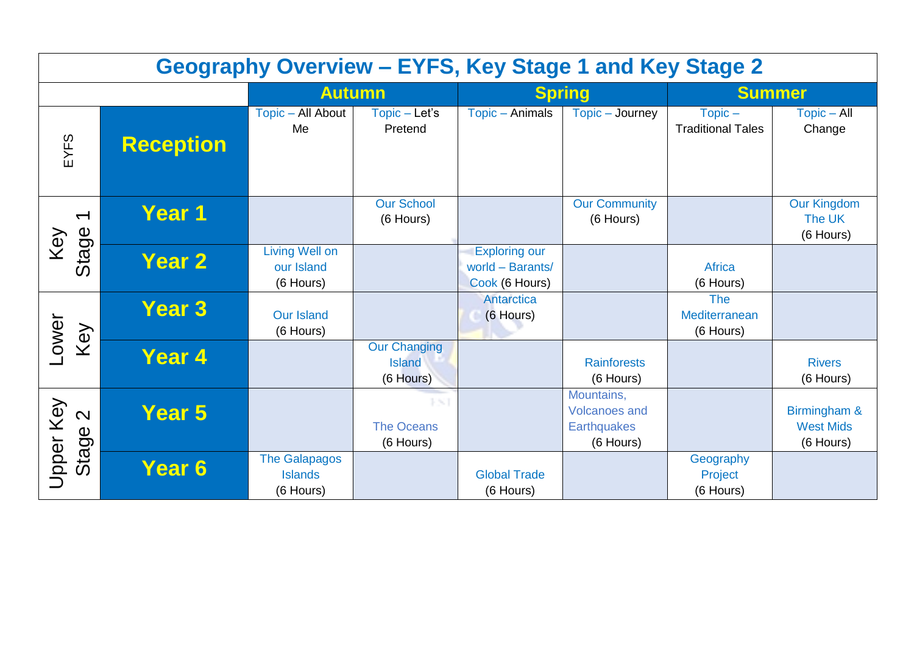|                                | <b>Geography Overview - EYFS, Key Stage 1 and Key Stage 2</b> |                                                     |                                                   |                                                            |                                                                       |                                          |                                               |
|--------------------------------|---------------------------------------------------------------|-----------------------------------------------------|---------------------------------------------------|------------------------------------------------------------|-----------------------------------------------------------------------|------------------------------------------|-----------------------------------------------|
|                                |                                                               | <b>Autumn</b>                                       |                                                   |                                                            | <b>Spring</b>                                                         | <b>Summer</b>                            |                                               |
| EYFS                           | <b>Reception</b>                                              | Topic - All About<br>Me                             | Topic - Let's<br>Pretend                          | Topic - Animals                                            | Topic - Journey                                                       | $Topic -$<br><b>Traditional Tales</b>    | $Topic - All$<br>Change                       |
| $\overline{\phantom{0}}$       | Year 1                                                        |                                                     | <b>Our School</b><br>(6 Hours)                    |                                                            | <b>Our Community</b><br>(6 Hours)                                     |                                          | <b>Our Kingdom</b><br>The UK<br>(6 Hours)     |
| Key<br>Stage                   | <b>Year 2</b>                                                 | <b>Living Well on</b><br>our Island<br>(6 Hours)    |                                                   | <b>Exploring our</b><br>world - Barants/<br>Cook (6 Hours) |                                                                       | <b>Africa</b><br>(6 Hours)               |                                               |
| Lower<br>Key                   | <b>Year 3</b>                                                 | <b>Our Island</b><br>(6 Hours)                      |                                                   | Antarctica<br>(6 Hours)                                    |                                                                       | <b>The</b><br>Mediterranean<br>(6 Hours) |                                               |
|                                | Year 4                                                        |                                                     | <b>Our Changing</b><br><b>Island</b><br>(6 Hours) |                                                            | <b>Rainforests</b><br>(6 Hours)                                       |                                          | <b>Rivers</b><br>(6 Hours)                    |
| Upper Key<br>$\mathbf{\Omega}$ | Year 5                                                        |                                                     | ENT<br><b>The Oceans</b><br>(6 Hours)             |                                                            | Mountains,<br><b>Volcanoes and</b><br><b>Earthquakes</b><br>(6 Hours) |                                          | Birmingham &<br><b>West Mids</b><br>(6 Hours) |
| Stage                          | Year 6                                                        | <b>The Galapagos</b><br><b>Islands</b><br>(6 Hours) |                                                   | <b>Global Trade</b><br>(6 Hours)                           |                                                                       | Geography<br>Project<br>(6 Hours)        |                                               |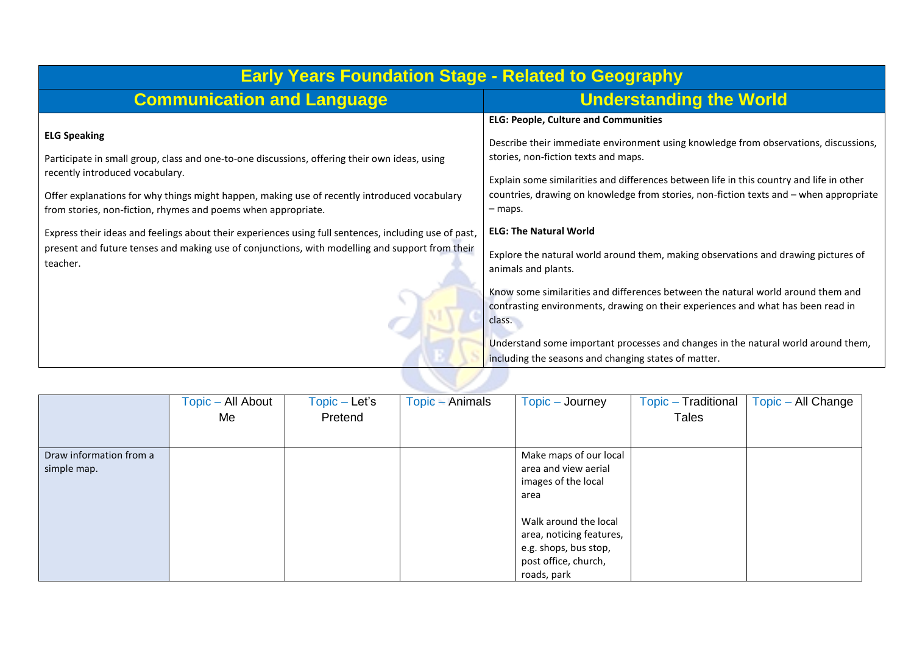| <b>Communication and Language</b><br><b>Understanding the World</b><br><b>ELG: People, Culture and Communities</b><br><b>ELG Speaking</b><br>Describe their immediate environment using knowledge from observations, discussions,<br>stories, non-fiction texts and maps.<br>Participate in small group, class and one-to-one discussions, offering their own ideas, using<br>recently introduced vocabulary.<br>Explain some similarities and differences between life in this country and life in other<br>countries, drawing on knowledge from stories, non-fiction texts and - when appropriate<br>Offer explanations for why things might happen, making use of recently introduced vocabulary<br>$-$ maps.<br>from stories, non-fiction, rhymes and poems when appropriate.<br><b>ELG: The Natural World</b><br>Express their ideas and feelings about their experiences using full sentences, including use of past,<br>present and future tenses and making use of conjunctions, with modelling and support from their<br>Explore the natural world around them, making observations and drawing pictures of<br>teacher.<br>animals and plants.<br>Know some similarities and differences between the natural world around them and<br>contrasting environments, drawing on their experiences and what has been read in<br>class.<br>Understand some important processes and changes in the natural world around them,<br>including the seasons and changing states of matter. | <b>Early Years Foundation Stage - Related to Geography</b> |  |  |  |  |  |
|----------------------------------------------------------------------------------------------------------------------------------------------------------------------------------------------------------------------------------------------------------------------------------------------------------------------------------------------------------------------------------------------------------------------------------------------------------------------------------------------------------------------------------------------------------------------------------------------------------------------------------------------------------------------------------------------------------------------------------------------------------------------------------------------------------------------------------------------------------------------------------------------------------------------------------------------------------------------------------------------------------------------------------------------------------------------------------------------------------------------------------------------------------------------------------------------------------------------------------------------------------------------------------------------------------------------------------------------------------------------------------------------------------------------------------------------------------------------------------------|------------------------------------------------------------|--|--|--|--|--|
|                                                                                                                                                                                                                                                                                                                                                                                                                                                                                                                                                                                                                                                                                                                                                                                                                                                                                                                                                                                                                                                                                                                                                                                                                                                                                                                                                                                                                                                                                        |                                                            |  |  |  |  |  |
|                                                                                                                                                                                                                                                                                                                                                                                                                                                                                                                                                                                                                                                                                                                                                                                                                                                                                                                                                                                                                                                                                                                                                                                                                                                                                                                                                                                                                                                                                        |                                                            |  |  |  |  |  |

|                         | Topic - All About | Topic – Let's | Topic – Animals | Topic - Journey          | Topic - Traditional | Topic - All Change |
|-------------------------|-------------------|---------------|-----------------|--------------------------|---------------------|--------------------|
|                         | Me                | Pretend       |                 |                          | <b>Tales</b>        |                    |
|                         |                   |               |                 |                          |                     |                    |
| Draw information from a |                   |               |                 | Make maps of our local   |                     |                    |
| simple map.             |                   |               |                 | area and view aerial     |                     |                    |
|                         |                   |               |                 | images of the local      |                     |                    |
|                         |                   |               |                 | area                     |                     |                    |
|                         |                   |               |                 | Walk around the local    |                     |                    |
|                         |                   |               |                 | area, noticing features, |                     |                    |
|                         |                   |               |                 | e.g. shops, bus stop,    |                     |                    |
|                         |                   |               |                 | post office, church,     |                     |                    |
|                         |                   |               |                 | roads, park              |                     |                    |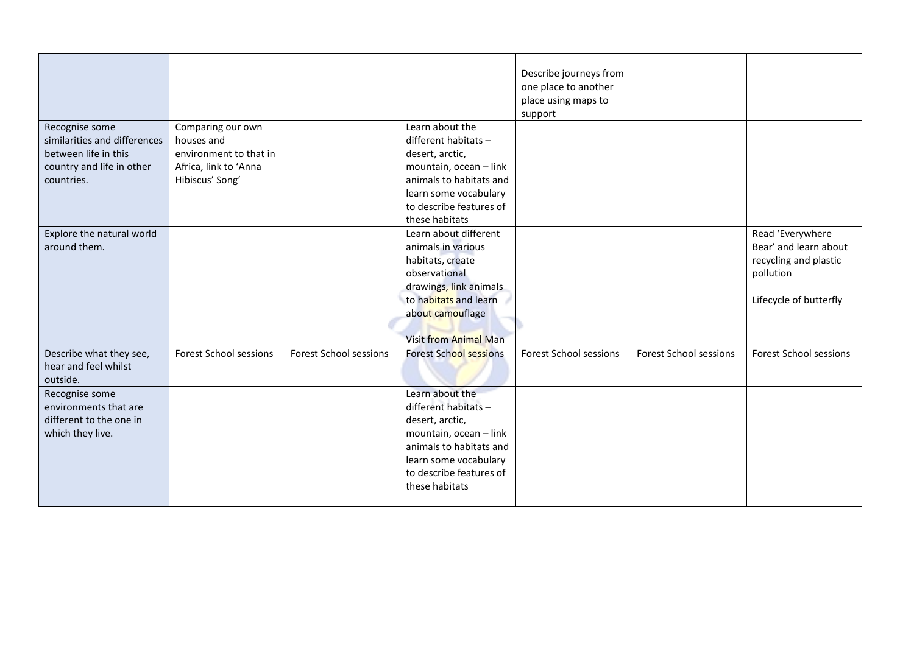| Recognise some<br>similarities and differences<br>between life in this<br>country and life in other<br>countries. | Comparing our own<br>houses and<br>environment to that in<br>Africa, link to 'Anna<br>Hibiscus' Song' |                               | Learn about the<br>different habitats -<br>desert, arctic,<br>mountain, ocean - link<br>animals to habitats and<br>learn some vocabulary                                                | Describe journeys from<br>one place to another<br>place using maps to<br>support |                               |                                                                                                           |
|-------------------------------------------------------------------------------------------------------------------|-------------------------------------------------------------------------------------------------------|-------------------------------|-----------------------------------------------------------------------------------------------------------------------------------------------------------------------------------------|----------------------------------------------------------------------------------|-------------------------------|-----------------------------------------------------------------------------------------------------------|
|                                                                                                                   |                                                                                                       |                               | to describe features of<br>these habitats                                                                                                                                               |                                                                                  |                               |                                                                                                           |
| Explore the natural world<br>around them.                                                                         |                                                                                                       |                               | Learn about different<br>animals in various<br>habitats, create<br>observational<br>drawings, link animals<br>to habitats and learn<br>about camouflage<br><b>Visit from Animal Man</b> |                                                                                  |                               | Read 'Everywhere<br>Bear' and learn about<br>recycling and plastic<br>pollution<br>Lifecycle of butterfly |
| Describe what they see,<br>hear and feel whilst<br>outside.                                                       | <b>Forest School sessions</b>                                                                         | <b>Forest School sessions</b> | <b>Forest School sessions</b>                                                                                                                                                           | <b>Forest School sessions</b>                                                    | <b>Forest School sessions</b> | <b>Forest School sessions</b>                                                                             |
| Recognise some<br>environments that are<br>different to the one in<br>which they live.                            |                                                                                                       |                               | Learn about the<br>different habitats -<br>desert, arctic,<br>mountain, ocean - link<br>animals to habitats and<br>learn some vocabulary<br>to describe features of<br>these habitats   |                                                                                  |                               |                                                                                                           |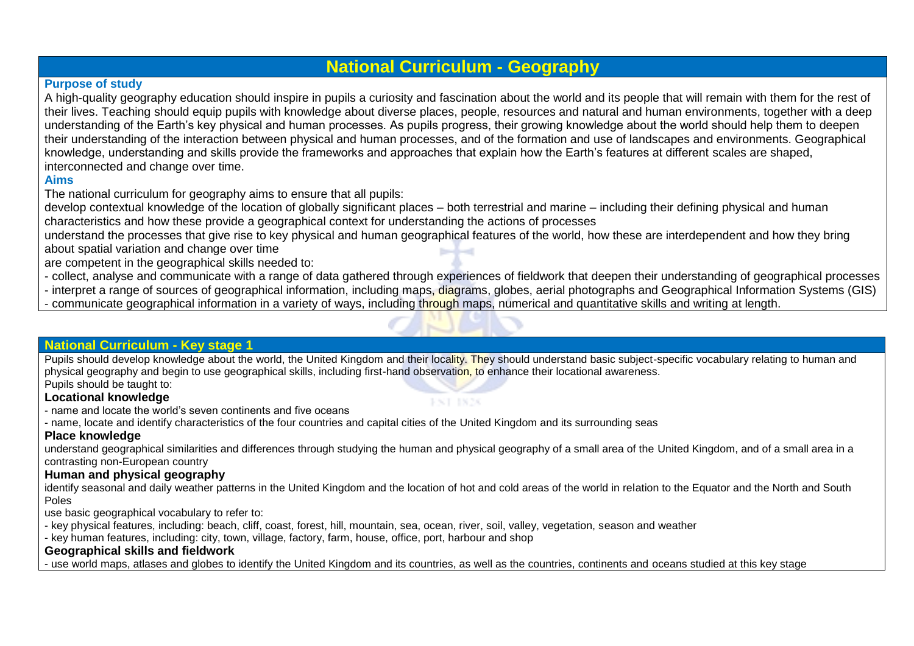# **National Curriculum - Geography**

## **Purpose of study**

A high-quality geography education should inspire in pupils a curiosity and fascination about the world and its people that will remain with them for the rest of their lives. Teaching should equip pupils with knowledge about diverse places, people, resources and natural and human environments, together with a deep understanding of the Earth's key physical and human processes. As pupils progress, their growing knowledge about the world should help them to deepen their understanding of the interaction between physical and human processes, and of the formation and use of landscapes and environments. Geographical knowledge, understanding and skills provide the frameworks and approaches that explain how the Earth's features at different scales are shaped, interconnected and change over time.

#### **Aims**

The national curriculum for geography aims to ensure that all pupils:

develop contextual knowledge of the location of globally significant places – both terrestrial and marine – including their defining physical and human characteristics and how these provide a geographical context for understanding the actions of processes

understand the processes that give rise to key physical and human geographical features of the world, how these are interdependent and how they bring about spatial variation and change over time

are competent in the geographical skills needed to:

- collect, analyse and communicate with a range of data gathered through experiences of fieldwork that deepen their understanding of geographical processes

- interpret a range of sources of geographical information, including maps, diagrams, globes, aerial photographs and Geographical Information Systems (GIS)

- communicate geographical information in a variety of ways, including through maps, numerical and quantitative skills and writing at length.

# **National Curriculum - Key stage 1**

Pupils should develop knowledge about the world, the United Kingdom and their locality. They should understand basic subject-specific vocabulary relating to human and physical geography and begin to use geographical skills, including first-hand observation, to enhance their locational awareness. Pupils should be taught to:

**FNT IN24** 

# **Locational knowledge**

- name and locate the world's seven continents and five oceans

- name, locate and identify characteristics of the four countries and capital cities of the United Kingdom and its surrounding seas

# **Place knowledge**

understand geographical similarities and differences through studying the human and physical geography of a small area of the United Kingdom, and of a small area in a contrasting non-European country

# **Human and physical geography**

identify seasonal and daily weather patterns in the United Kingdom and the location of hot and cold areas of the world in relation to the Equator and the North and South Poles

use basic geographical vocabulary to refer to:

- key physical features, including: beach, cliff, coast, forest, hill, mountain, sea, ocean, river, soil, valley, vegetation, season and weather

- key human features, including: city, town, village, factory, farm, house, office, port, harbour and shop

#### **Geographical skills and fieldwork**

- use world maps, atlases and globes to identify the United Kingdom and its countries, as well as the countries, continents and oceans studied at this key stage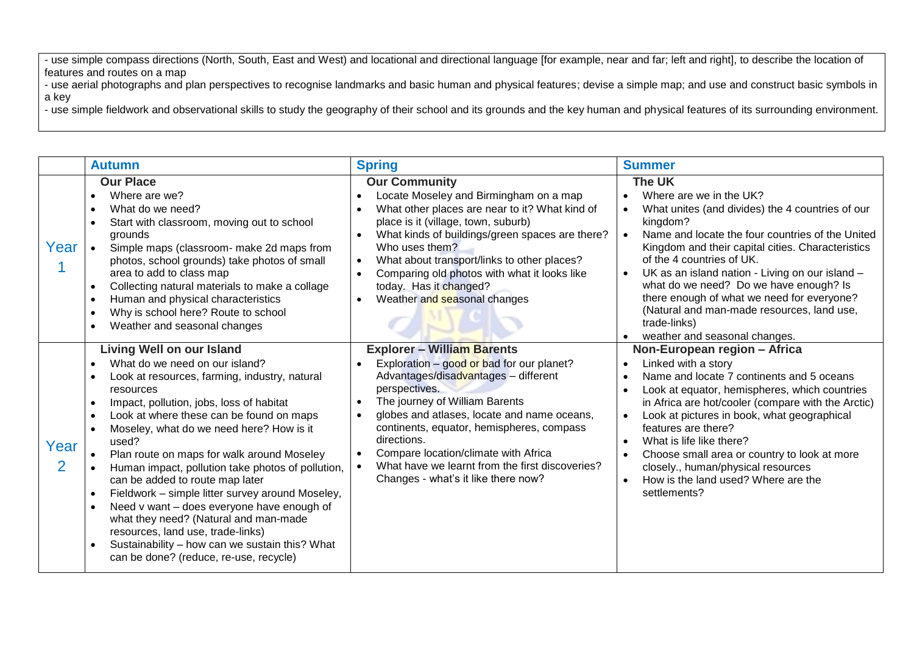- use simple compass directions (North, South, East and West) and locational and directional language [for example, near and far; left and right], to describe the location of features and routes on a map

- use aerial photographs and plan perspectives to recognise landmarks and basic human and physical features; devise a simple map; and use and construct basic symbols in a key

- use simple fieldwork and observational skills to study the geography of their school and its grounds and the key human and physical features of its surrounding environment.

|                        | <b>Autumn</b>                                                                                                                                                                                                                                                                                                                                                                                                                                                                                                                                                                                                                                                                                                                                                                                           | <b>Spring</b>                                                                                                                                                                                                                                                                                                                                                                                                                                                 | <b>Summer</b>                                                                                                                                                                                                                                                                                                                                                                                                                                                                                                                                     |
|------------------------|---------------------------------------------------------------------------------------------------------------------------------------------------------------------------------------------------------------------------------------------------------------------------------------------------------------------------------------------------------------------------------------------------------------------------------------------------------------------------------------------------------------------------------------------------------------------------------------------------------------------------------------------------------------------------------------------------------------------------------------------------------------------------------------------------------|---------------------------------------------------------------------------------------------------------------------------------------------------------------------------------------------------------------------------------------------------------------------------------------------------------------------------------------------------------------------------------------------------------------------------------------------------------------|---------------------------------------------------------------------------------------------------------------------------------------------------------------------------------------------------------------------------------------------------------------------------------------------------------------------------------------------------------------------------------------------------------------------------------------------------------------------------------------------------------------------------------------------------|
| Year                   | <b>Our Place</b><br>Where are we?<br>$\bullet$<br>What do we need?<br>$\bullet$<br>Start with classroom, moving out to school<br>grounds<br>Simple maps (classroom- make 2d maps from<br>photos, school grounds) take photos of small<br>area to add to class map<br>Collecting natural materials to make a collage<br>$\bullet$<br>Human and physical characteristics<br>$\bullet$<br>Why is school here? Route to school<br>$\bullet$<br>Weather and seasonal changes<br>$\bullet$                                                                                                                                                                                                                                                                                                                    | <b>Our Community</b><br>Locate Moseley and Birmingham on a map<br>What other places are near to it? What kind of<br>place is it (village, town, suburb)<br>What kinds of buildings/green spaces are there?<br>Who uses them?<br>What about transport/links to other places?<br>$\bullet$<br>Comparing old photos with what it looks like<br>today. Has it changed?<br>Weather and seasonal changes                                                            | The UK<br>Where are we in the UK?<br>What unites (and divides) the 4 countries of our<br>$\bullet$<br>kingdom?<br>Name and locate the four countries of the United<br>Kingdom and their capital cities. Characteristics<br>of the 4 countries of UK.<br>UK as an island nation - Living on our island -<br>what do we need? Do we have enough? Is<br>there enough of what we need for everyone?<br>(Natural and man-made resources, land use,<br>trade-links)<br>weather and seasonal changes.<br>$\bullet$                                       |
| Year<br>$\overline{2}$ | <b>Living Well on our Island</b><br>What do we need on our island?<br>$\bullet$<br>Look at resources, farming, industry, natural<br>$\bullet$<br>resources<br>Impact, pollution, jobs, loss of habitat<br>$\bullet$<br>Look at where these can be found on maps<br>$\bullet$<br>Moseley, what do we need here? How is it<br>$\bullet$<br>used?<br>Plan route on maps for walk around Moseley<br>Human impact, pollution take photos of pollution,<br>$\bullet$<br>can be added to route map later<br>Fieldwork - simple litter survey around Moseley,<br>$\bullet$<br>Need v want - does everyone have enough of<br>$\bullet$<br>what they need? (Natural and man-made<br>resources, land use, trade-links)<br>Sustainability - how can we sustain this? What<br>can be done? (reduce, re-use, recycle) | <b>Explorer - William Barents</b><br>Exploration - good or bad for our planet?<br>$\bullet$<br>Advantages/disadvantages - different<br>perspectives.<br>The journey of William Barents<br>globes and atlases, locate and name oceans,<br>continents, equator, hemispheres, compass<br>directions.<br>Compare location/climate with Africa<br>$\bullet$<br>What have we learnt from the first discoveries?<br>$\bullet$<br>Changes - what's it like there now? | Non-European region - Africa<br>Linked with a story<br>$\bullet$<br>Name and locate 7 continents and 5 oceans<br>$\bullet$<br>Look at equator, hemispheres, which countries<br>$\bullet$<br>in Africa are hot/cooler (compare with the Arctic)<br>Look at pictures in book, what geographical<br>$\bullet$<br>features are there?<br>What is life like there?<br>$\bullet$<br>Choose small area or country to look at more<br>$\bullet$<br>closely., human/physical resources<br>How is the land used? Where are the<br>$\bullet$<br>settlements? |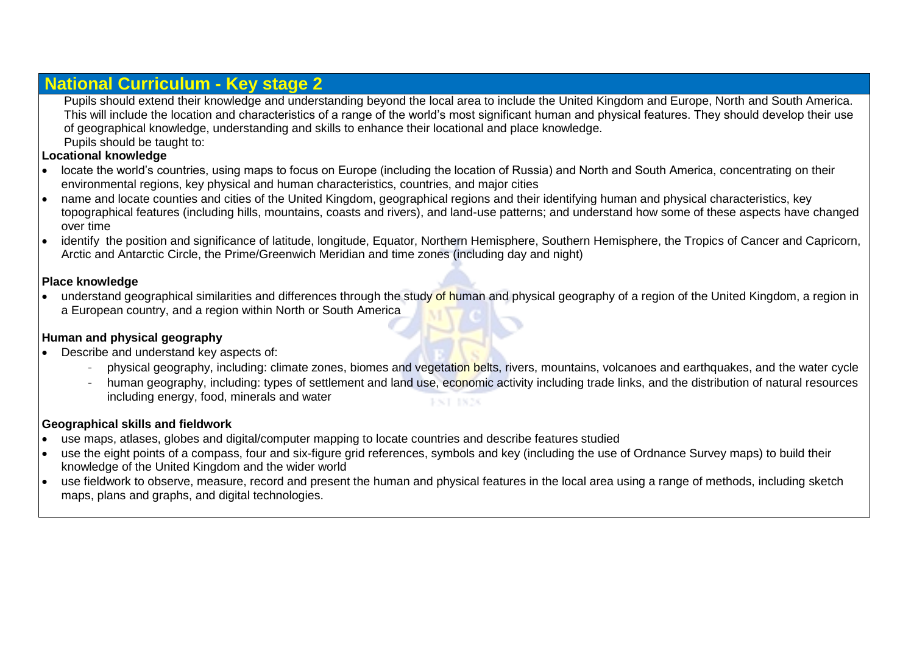# **National Curriculum - Key stage 2**

Pupils should extend their knowledge and understanding beyond the local area to include the United Kingdom and Europe, North and South America. This will include the location and characteristics of a range of the world's most significant human and physical features. They should develop their use of geographical knowledge, understanding and skills to enhance their locational and place knowledge. Pupils should be taught to:

#### **Locational knowledge**

- locate the world's countries, using maps to focus on Europe (including the location of Russia) and North and South America, concentrating on their environmental regions, key physical and human characteristics, countries, and major cities
- name and locate counties and cities of the United Kingdom, geographical regions and their identifying human and physical characteristics, key topographical features (including hills, mountains, coasts and rivers), and land-use patterns; and understand how some of these aspects have changed over time
- identify the position and significance of latitude, longitude, Equator, Northern Hemisphere, Southern Hemisphere, the Tropics of Cancer and Capricorn, Arctic and Antarctic Circle, the Prime/Greenwich Meridian and time zones (including day and night)

## **Place knowledge**

 $|\bullet|$  understand geographical similarities and differences through the study of human and physical geography of a region of the United Kingdom, a region in a European country, and a region within North or South America

# **Human and physical geography**

- **Describe and understand key aspects of:** 
	- physical geography, including: climate zones, biomes and vegetation belts, rivers, mountains, volcanoes and earthquakes, and the water cycle
	- human geography, including: types of settlement and land use, economic activity including trade links, and the distribution of natural resources including energy, food, minerals and water **FNT IN24**

# **Geographical skills and fieldwork**

- use maps, atlases, globes and digital/computer mapping to locate countries and describe features studied
- use the eight points of a compass, four and six-figure grid references, symbols and key (including the use of Ordnance Survey maps) to build their knowledge of the United Kingdom and the wider world
- $\vert\bullet\vert$  use fieldwork to observe, measure, record and present the human and physical features in the local area using a range of methods, including sketch maps, plans and graphs, and digital technologies.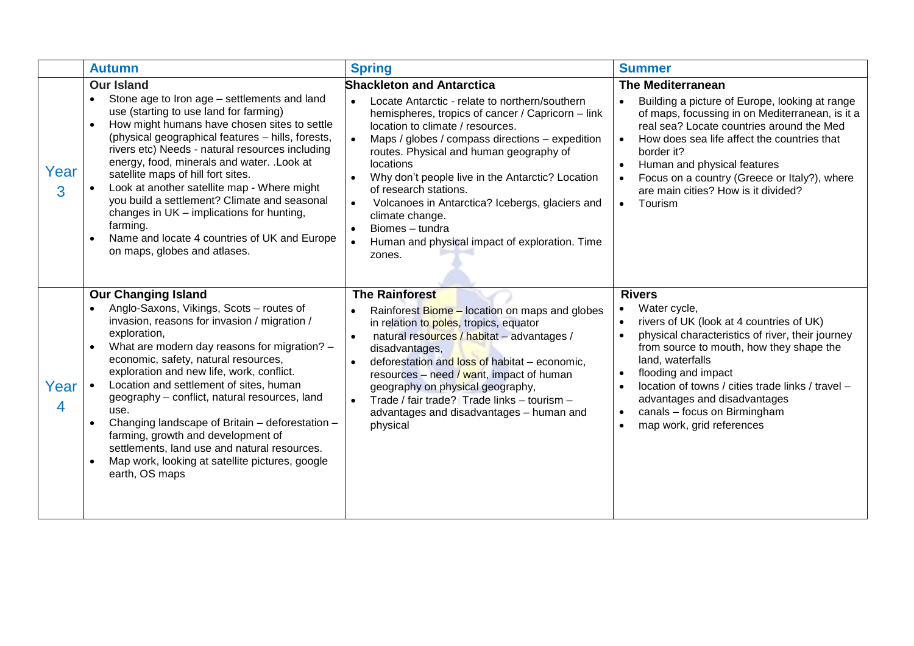|           | <b>Autumn</b>                                                                                                                                                                                                                                                                                                                                                                                                                                                                                                                                                                                                              | <b>Spring</b>                                                                                                                                                                                                                                                                                                                                                                                                                                                                                                                                                                                          | <b>Summer</b>                                                                                                                                                                                                                                                                                                                                                                                                                                                     |
|-----------|----------------------------------------------------------------------------------------------------------------------------------------------------------------------------------------------------------------------------------------------------------------------------------------------------------------------------------------------------------------------------------------------------------------------------------------------------------------------------------------------------------------------------------------------------------------------------------------------------------------------------|--------------------------------------------------------------------------------------------------------------------------------------------------------------------------------------------------------------------------------------------------------------------------------------------------------------------------------------------------------------------------------------------------------------------------------------------------------------------------------------------------------------------------------------------------------------------------------------------------------|-------------------------------------------------------------------------------------------------------------------------------------------------------------------------------------------------------------------------------------------------------------------------------------------------------------------------------------------------------------------------------------------------------------------------------------------------------------------|
| Year<br>3 | <b>Our Island</b><br>Stone age to Iron age - settlements and land<br>$\bullet$<br>use (starting to use land for farming)<br>How might humans have chosen sites to settle<br>$\bullet$<br>(physical geographical features - hills, forests,<br>rivers etc) Needs - natural resources including<br>energy, food, minerals and water. . Look at<br>satellite maps of hill fort sites.<br>Look at another satellite map - Where might<br>you build a settlement? Climate and seasonal<br>changes in UK - implications for hunting,<br>farming.<br>Name and locate 4 countries of UK and Europe<br>on maps, globes and atlases. | <b>Shackleton and Antarctica</b><br>Locate Antarctic - relate to northern/southern<br>$\bullet$<br>hemispheres, tropics of cancer / Capricorn – link<br>location to climate / resources.<br>Maps / globes / compass directions - expedition<br>$\bullet$<br>routes. Physical and human geography of<br>locations<br>Why don't people live in the Antarctic? Location<br>$\bullet$<br>of research stations.<br>Volcanoes in Antarctica? Icebergs, glaciers and<br>$\bullet$<br>climate change.<br>Biomes - tundra<br>$\bullet$<br>Human and physical impact of exploration. Time<br>$\bullet$<br>zones. | <b>The Mediterranean</b><br>Building a picture of Europe, looking at range<br>$\bullet$<br>of maps, focussing in on Mediterranean, is it a<br>real sea? Locate countries around the Med<br>How does sea life affect the countries that<br>$\bullet$<br>border it?<br>Human and physical features<br>$\bullet$<br>Focus on a country (Greece or Italy?), where<br>$\bullet$<br>are main cities? How is it divided?<br>Tourism<br>$\bullet$                         |
| Year<br>4 | <b>Our Changing Island</b><br>Anglo-Saxons, Vikings, Scots - routes of<br>invasion, reasons for invasion / migration /<br>exploration,<br>What are modern day reasons for migration? -<br>$\bullet$<br>economic, safety, natural resources,<br>exploration and new life, work, conflict.<br>Location and settlement of sites, human<br>$\bullet$<br>geography - conflict, natural resources, land<br>use.<br>Changing landscape of Britain - deforestation -<br>farming, growth and development of<br>settlements, land use and natural resources.<br>Map work, looking at satellite pictures, google<br>earth, OS maps    | The Rainforest<br>Rainforest Biome - location on maps and globes<br>in relation to poles, tropics, equator<br>natural resources / habitat - advantages /<br>$\bullet$<br>disadvantages,<br>deforestation and loss of habitat – economic,<br>resources – need / want, impact of human<br>geography on physical geography,<br>Trade / fair trade? Trade links - tourism -<br>$\bullet$<br>advantages and disadvantages - human and<br>physical                                                                                                                                                           | <b>Rivers</b><br>Water cycle,<br>$\bullet$<br>rivers of UK (look at 4 countries of UK)<br>$\bullet$<br>physical characteristics of river, their journey<br>$\bullet$<br>from source to mouth, how they shape the<br>land, waterfalls<br>flooding and impact<br>$\bullet$<br>location of towns / cities trade links / travel -<br>$\bullet$<br>advantages and disadvantages<br>canals - focus on Birmingham<br>$\bullet$<br>map work, grid references<br>$\bullet$ |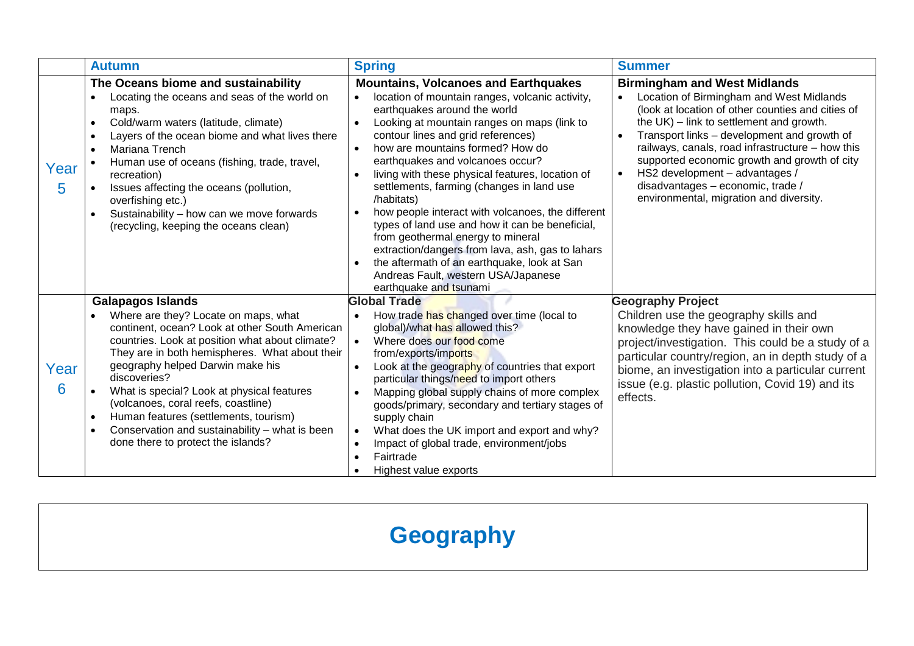|           | <b>Autumn</b>                                                                                                                                                                                                                                                                                                                                                                                                                                                                                     | <b>Spring</b>                                                                                                                                                                                                                                                                                                                                                                                                                                                                                                                                                                                                                                                                                                                                                                   | <b>Summer</b>                                                                                                                                                                                                                                                                                                                                                                                                                                                      |
|-----------|---------------------------------------------------------------------------------------------------------------------------------------------------------------------------------------------------------------------------------------------------------------------------------------------------------------------------------------------------------------------------------------------------------------------------------------------------------------------------------------------------|---------------------------------------------------------------------------------------------------------------------------------------------------------------------------------------------------------------------------------------------------------------------------------------------------------------------------------------------------------------------------------------------------------------------------------------------------------------------------------------------------------------------------------------------------------------------------------------------------------------------------------------------------------------------------------------------------------------------------------------------------------------------------------|--------------------------------------------------------------------------------------------------------------------------------------------------------------------------------------------------------------------------------------------------------------------------------------------------------------------------------------------------------------------------------------------------------------------------------------------------------------------|
| Year<br>5 | The Oceans biome and sustainability<br>Locating the oceans and seas of the world on<br>maps.<br>Cold/warm waters (latitude, climate)<br>Layers of the ocean biome and what lives there<br>Mariana Trench<br>Human use of oceans (fishing, trade, travel,<br>recreation)<br>Issues affecting the oceans (pollution,<br>overfishing etc.)<br>Sustainability - how can we move forwards<br>(recycling, keeping the oceans clean)                                                                     | <b>Mountains, Volcanoes and Earthquakes</b><br>location of mountain ranges, volcanic activity,<br>earthquakes around the world<br>Looking at mountain ranges on maps (link to<br>$\bullet$<br>contour lines and grid references)<br>how are mountains formed? How do<br>$\bullet$<br>earthquakes and volcanoes occur?<br>living with these physical features, location of<br>$\bullet$<br>settlements, farming (changes in land use<br>/habitats)<br>how people interact with volcanoes, the different<br>$\bullet$<br>types of land use and how it can be beneficial,<br>from geothermal energy to mineral<br>extraction/dangers from lava, ash, gas to lahars<br>the aftermath of an earthquake, look at San<br>Andreas Fault, western USA/Japanese<br>earthquake and tsunami | <b>Birmingham and West Midlands</b><br>Location of Birmingham and West Midlands<br>(look at location of other counties and cities of<br>the UK) - link to settlement and growth.<br>Transport links - development and growth of<br>railways, canals, road infrastructure - how this<br>supported economic growth and growth of city<br>HS2 development - advantages /<br>$\bullet$<br>disadvantages - economic, trade /<br>environmental, migration and diversity. |
| Year<br>6 | <b>Galapagos Islands</b><br>Where are they? Locate on maps, what<br>continent, ocean? Look at other South American<br>countries. Look at position what about climate?<br>They are in both hemispheres. What about their<br>geography helped Darwin make his<br>discoveries?<br>What is special? Look at physical features<br>(volcanoes, coral reefs, coastline)<br>Human features (settlements, tourism)<br>Conservation and sustainability - what is been<br>done there to protect the islands? | <b>Global Trade</b><br>How trade has changed over time (local to<br>$\bullet$<br>global)/what has allowed this?<br>Where does our food come<br>from/exports/imports<br>Look at the geography of countries that export<br>$\bullet$<br>particular things/need to import others<br>Mapping global supply chains of more complex<br>$\bullet$<br>goods/primary, secondary and tertiary stages of<br>supply chain<br>What does the UK import and export and why?<br>$\bullet$<br>Impact of global trade, environment/jobs<br>$\bullet$<br>Fairtrade<br>Highest value exports                                                                                                                                                                                                        | <b>Geography Project</b><br>Children use the geography skills and<br>knowledge they have gained in their own<br>project/investigation. This could be a study of a<br>particular country/region, an in depth study of a<br>biome, an investigation into a particular current<br>issue (e.g. plastic pollution, Covid 19) and its<br>effects.                                                                                                                        |

# **Geography**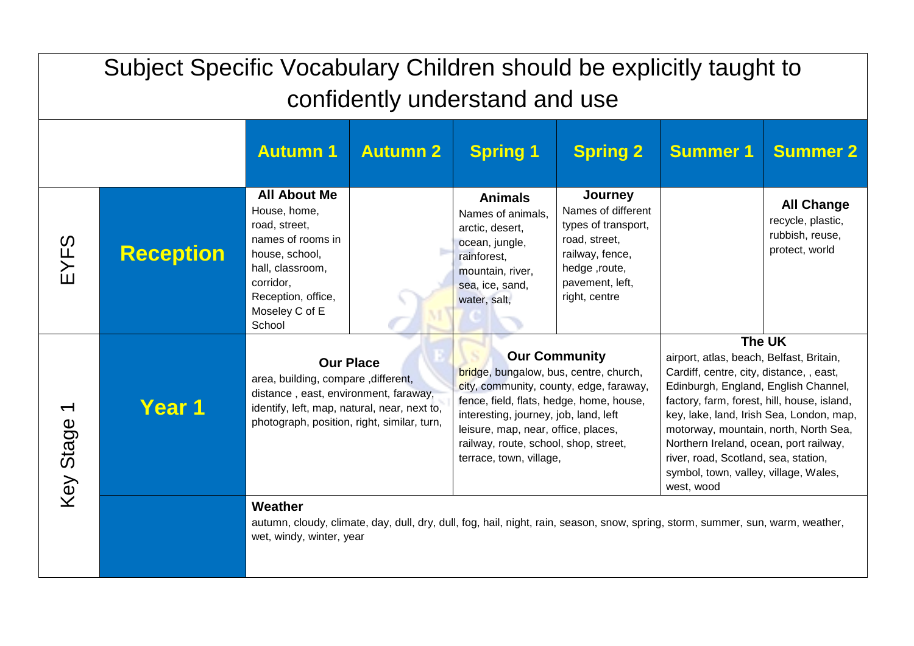|                                       | Subject Specific Vocabulary Children should be explicitly taught to<br>confidently understand and use |                                                                                                                                                                                |                  |                                                                                                                                                                                                                                                                                   |                                                                                                                                               |                                                                                                                                                                                                                                                                                                                                                                                                           |                                                                             |
|---------------------------------------|-------------------------------------------------------------------------------------------------------|--------------------------------------------------------------------------------------------------------------------------------------------------------------------------------|------------------|-----------------------------------------------------------------------------------------------------------------------------------------------------------------------------------------------------------------------------------------------------------------------------------|-----------------------------------------------------------------------------------------------------------------------------------------------|-----------------------------------------------------------------------------------------------------------------------------------------------------------------------------------------------------------------------------------------------------------------------------------------------------------------------------------------------------------------------------------------------------------|-----------------------------------------------------------------------------|
|                                       |                                                                                                       |                                                                                                                                                                                |                  |                                                                                                                                                                                                                                                                                   |                                                                                                                                               |                                                                                                                                                                                                                                                                                                                                                                                                           |                                                                             |
| <b>Autumn 1</b><br><b>Autumn 2</b>    |                                                                                                       |                                                                                                                                                                                |                  | <b>Spring 1</b>                                                                                                                                                                                                                                                                   | <b>Spring 2</b>                                                                                                                               | <b>Summer 1</b>                                                                                                                                                                                                                                                                                                                                                                                           | <b>Summer 2</b>                                                             |
| EYFS                                  | <b>Reception</b>                                                                                      | <b>All About Me</b><br>House, home,<br>road, street,<br>names of rooms in<br>house, school,<br>hall, classroom,<br>corridor,<br>Reception, office,<br>Moseley C of E<br>School |                  | <b>Animals</b><br>Names of animals,<br>arctic, desert,<br>ocean, jungle,<br>rainforest.<br>mountain, river,<br>sea, ice, sand,<br>water, salt,                                                                                                                                    | Journey<br>Names of different<br>types of transport,<br>road, street,<br>railway, fence,<br>hedge, route,<br>pavement, left,<br>right, centre |                                                                                                                                                                                                                                                                                                                                                                                                           | <b>All Change</b><br>recycle, plastic,<br>rubbish, reuse,<br>protect, world |
| $\overline{\phantom{0}}$<br>Key Stage | Year 1                                                                                                | area, building, compare, different,<br>distance, east, environment, faraway,<br>identify, left, map, natural, near, next to,<br>photograph, position, right, similar, turn,    | <b>Our Place</b> | bridge, bungalow, bus, centre, church,<br>city, community, county, edge, faraway,<br>fence, field, flats, hedge, home, house,<br>interesting, journey, job, land, left<br>leisure, map, near, office, places,<br>railway, route, school, shop, street,<br>terrace, town, village, | <b>Our Community</b>                                                                                                                          | airport, atlas, beach, Belfast, Britain,<br>Cardiff, centre, city, distance, , east,<br>Edinburgh, England, English Channel,<br>factory, farm, forest, hill, house, island,<br>key, lake, land, Irish Sea, London, map,<br>motorway, mountain, north, North Sea,<br>Northern Ireland, ocean, port railway,<br>river, road, Scotland, sea, station,<br>symbol, town, valley, village, Wales,<br>west, wood | The UK                                                                      |
|                                       |                                                                                                       | Weather<br>wet, windy, winter, year                                                                                                                                            |                  |                                                                                                                                                                                                                                                                                   | autumn, cloudy, climate, day, dull, dry, dull, fog, hail, night, rain, season, snow, spring, storm, summer, sun, warm, weather,               |                                                                                                                                                                                                                                                                                                                                                                                                           |                                                                             |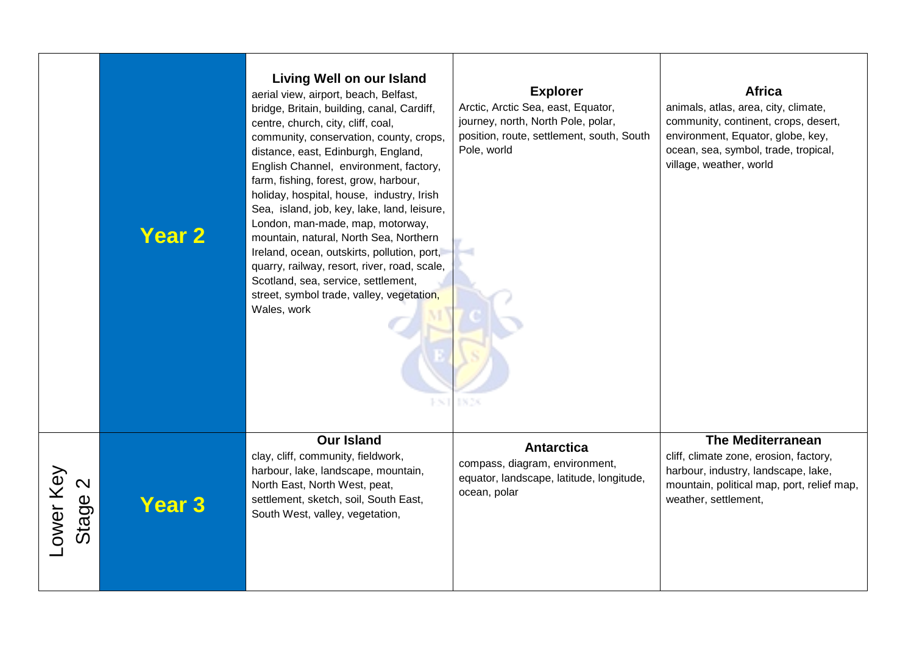|                                                 | <b>Year 2</b> | <b>Living Well on our Island</b><br>aerial view, airport, beach, Belfast,<br>bridge, Britain, building, canal, Cardiff,<br>centre, church, city, cliff, coal,<br>community, conservation, county, crops,<br>distance, east, Edinburgh, England,<br>English Channel, environment, factory,<br>farm, fishing, forest, grow, harbour,<br>holiday, hospital, house, industry, Irish<br>Sea, island, job, key, lake, land, leisure,<br>London, man-made, map, motorway,<br>mountain, natural, North Sea, Northern<br>Ireland, ocean, outskirts, pollution, port,<br>quarry, railway, resort, river, road, scale,<br>Scotland, sea, service, settlement,<br>street, symbol trade, valley, vegetation,<br>Wales, work | <b>Explorer</b><br>Arctic, Arctic Sea, east, Equator,<br>journey, north, North Pole, polar,<br>position, route, settlement, south, South<br>Pole, world | <b>Africa</b><br>animals, atlas, area, city, climate,<br>community, continent, crops, desert,<br>environment, Equator, globe, key,<br>ocean, sea, symbol, trade, tropical,<br>village, weather, world |
|-------------------------------------------------|---------------|----------------------------------------------------------------------------------------------------------------------------------------------------------------------------------------------------------------------------------------------------------------------------------------------------------------------------------------------------------------------------------------------------------------------------------------------------------------------------------------------------------------------------------------------------------------------------------------------------------------------------------------------------------------------------------------------------------------|---------------------------------------------------------------------------------------------------------------------------------------------------------|-------------------------------------------------------------------------------------------------------------------------------------------------------------------------------------------------------|
| -ower Key<br>$\boldsymbol{\mathsf{N}}$<br>Stage | <b>Year 3</b> | <b>Our Island</b><br>clay, cliff, community, fieldwork,<br>harbour, lake, landscape, mountain,<br>North East, North West, peat,<br>settlement, sketch, soil, South East,<br>South West, valley, vegetation,                                                                                                                                                                                                                                                                                                                                                                                                                                                                                                    | <b>Antarctica</b><br>compass, diagram, environment,<br>equator, landscape, latitude, longitude,<br>ocean, polar                                         | <b>The Mediterranean</b><br>cliff, climate zone, erosion, factory,<br>harbour, industry, landscape, lake,<br>mountain, political map, port, relief map,<br>weather, settlement,                       |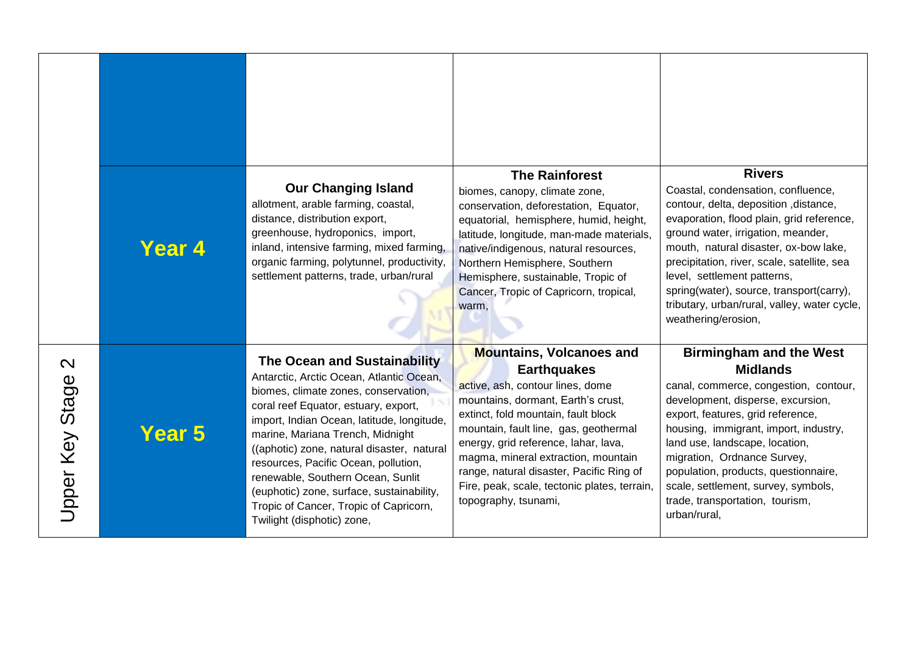|                                      | <b>Year 4</b> | <b>Our Changing Island</b><br>allotment, arable farming, coastal,<br>distance, distribution export,<br>greenhouse, hydroponics, import,<br>inland, intensive farming, mixed farming,<br>organic farming, polytunnel, productivity,<br>settlement patterns, trade, urban/rural                                                                                                                                                                                                              | <b>The Rainforest</b><br>biomes, canopy, climate zone,<br>conservation, deforestation, Equator,<br>equatorial, hemisphere, humid, height,<br>latitude, longitude, man-made materials,<br>native/indigenous, natural resources,<br>Northern Hemisphere, Southern<br>Hemisphere, sustainable, Tropic of<br>Cancer, Tropic of Capricorn, tropical,<br>warm,                                                           | <b>Rivers</b><br>Coastal, condensation, confluence,<br>contour, delta, deposition, distance,<br>evaporation, flood plain, grid reference,<br>ground water, irrigation, meander,<br>mouth, natural disaster, ox-bow lake,<br>precipitation, river, scale, satellite, sea<br>level, settlement patterns,<br>spring(water), source, transport(carry),<br>tributary, urban/rural, valley, water cycle,                                      |
|--------------------------------------|---------------|--------------------------------------------------------------------------------------------------------------------------------------------------------------------------------------------------------------------------------------------------------------------------------------------------------------------------------------------------------------------------------------------------------------------------------------------------------------------------------------------|--------------------------------------------------------------------------------------------------------------------------------------------------------------------------------------------------------------------------------------------------------------------------------------------------------------------------------------------------------------------------------------------------------------------|-----------------------------------------------------------------------------------------------------------------------------------------------------------------------------------------------------------------------------------------------------------------------------------------------------------------------------------------------------------------------------------------------------------------------------------------|
| $\mathbf{\Omega}$<br>Upper Key Stage | <b>Year 5</b> | The Ocean and Sustainability<br>Antarctic, Arctic Ocean, Atlantic Ocean,<br>biomes, climate zones, conservation,<br>coral reef Equator, estuary, export,<br>import, Indian Ocean, latitude, longitude,<br>marine, Mariana Trench, Midnight<br>((aphotic) zone, natural disaster, natural<br>resources, Pacific Ocean, pollution,<br>renewable, Southern Ocean, Sunlit<br>(euphotic) zone, surface, sustainability,<br>Tropic of Cancer, Tropic of Capricorn,<br>Twilight (disphotic) zone, | <b>Mountains, Volcanoes and</b><br><b>Earthquakes</b><br>active, ash, contour lines, dome<br>mountains, dormant, Earth's crust,<br>extinct, fold mountain, fault block<br>mountain, fault line, gas, geothermal<br>energy, grid reference, lahar, lava,<br>magma, mineral extraction, mountain<br>range, natural disaster, Pacific Ring of<br>Fire, peak, scale, tectonic plates, terrain,<br>topography, tsunami, | weathering/erosion,<br><b>Birmingham and the West</b><br><b>Midlands</b><br>canal, commerce, congestion, contour,<br>development, disperse, excursion,<br>export, features, grid reference,<br>housing, immigrant, import, industry,<br>land use, landscape, location,<br>migration, Ordnance Survey,<br>population, products, questionnaire,<br>scale, settlement, survey, symbols,<br>trade, transportation, tourism,<br>urban/rural, |